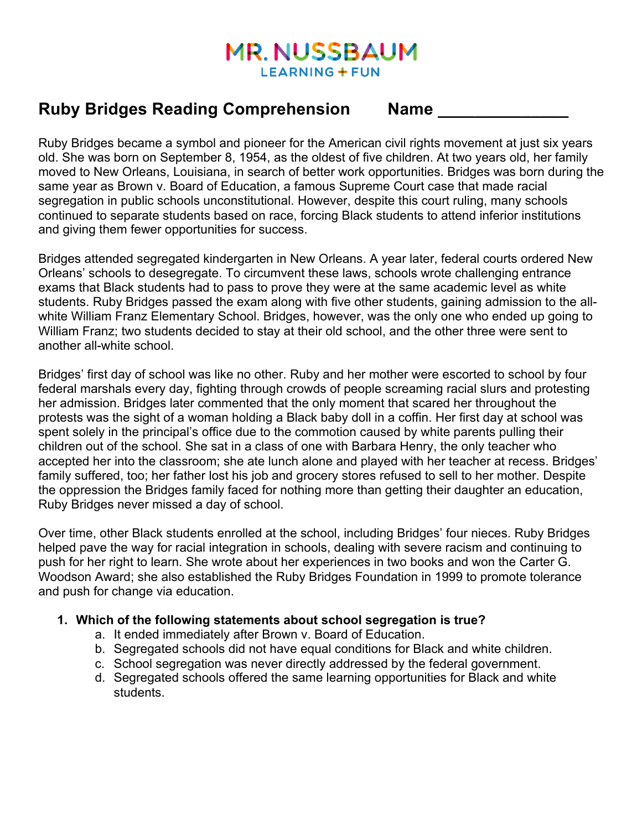# **MR. NUSSBAUM LEARNING + FUN**

# **Ruby Bridges Reading Comprehension Name \_\_\_\_\_\_\_\_\_\_\_\_\_\_**

Ruby Bridges became a symbol and pioneer for the American civil rights movement at just six years old. She was born on September 8, 1954, as the oldest of five children. At two years old, her family moved to New Orleans, Louisiana, in search of better work opportunities. Bridges was born during the same year as Brown v. Board of Education, a famous Supreme Court case that made racial segregation in public schools unconstitutional. However, despite this court ruling, many schools continued to separate students based on race, forcing Black students to attend inferior institutions and giving them fewer opportunities for success.

Bridges attended segregated kindergarten in New Orleans. A year later, federal courts ordered New Orleans' schools to desegregate. To circumvent these laws, schools wrote challenging entrance exams that Black students had to pass to prove they were at the same academic level as white students. Ruby Bridges passed the exam along with five other students, gaining admission to the allwhite William Franz Elementary School. Bridges, however, was the only one who ended up going to William Franz; two students decided to stay at their old school, and the other three were sent to another all-white school.

Bridges' first day of school was like no other. Ruby and her mother were escorted to school by four federal marshals every day, fighting through crowds of people screaming racial slurs and protesting her admission. Bridges later commented that the only moment that scared her throughout the protests was the sight of a woman holding a Black baby doll in a coffin. Her first day at school was spent solely in the principal's office due to the commotion caused by white parents pulling their children out of the school. She sat in a class of one with Barbara Henry, the only teacher who accepted her into the classroom; she ate lunch alone and played with her teacher at recess. Bridges' family suffered, too; her father lost his job and grocery stores refused to sell to her mother. Despite the oppression the Bridges family faced for nothing more than getting their daughter an education, Ruby Bridges never missed a day of school.

Over time, other Black students enrolled at the school, including Bridges' four nieces. Ruby Bridges helped pave the way for racial integration in schools, dealing with severe racism and continuing to push for her right to learn. She wrote about her experiences in two books and won the Carter G. Woodson Award; she also established the Ruby Bridges Foundation in 1999 to promote tolerance and push for change via education.

# **1. Which of the following statements about school segregation is true?**

- a. It ended immediately after Brown v. Board of Education.
- b. Segregated schools did not have equal conditions for Black and white children.
- c. School segregation was never directly addressed by the federal government.
- d. Segregated schools offered the same learning opportunities for Black and white students.